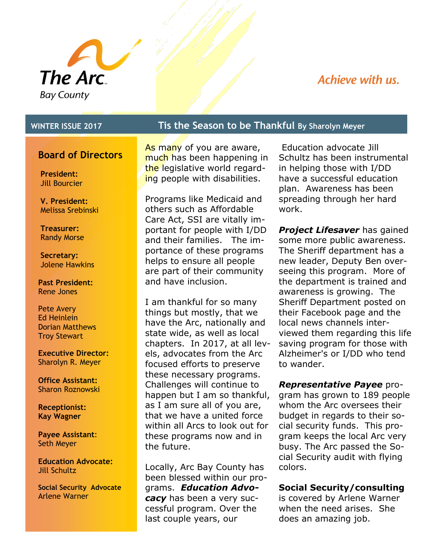

## Achieve with us.

### **Board of Directors**

**President:**  Jill Bourcier

**V. President:**  Melissa Srebinski

**Treasurer:**  Randy Morse

**Secretary:**  Jolene Hawkins

**Past President:** Rene Jones

Pete Avery Ed Heinlein Dorian Matthews Troy Stewart

**Executive Director:** Sharolyn R. Meyer

**Office Assistant:** Sharon Roznowski

**Receptionist: Kay Wagner**

**Payee Assistant**: Seth Meyer

**Education Advocate:**  Jill Schultz

**Social Security Advocate** Arlene Warner

### **WINTER ISSUE 2017 Tis the Season to be Thankful By Sharolyn Meyer**

As many of you are aware, much has been happening in the legislative world regarding people with disabilities.

Programs like Medicaid and others such as Affordable Care Act, SSI are vitally important for people with I/DD and their families. The importance of these programs helps to ensure all people are part of their community and have inclusion.

I am thankful for so many things but mostly, that we have the Arc, nationally and state wide, as well as local chapters. In 2017, at all levels, advocates from the Arc focused efforts to preserve these necessary programs. Challenges will continue to happen but I am so thankful, as I am sure all of you are, that we have a united force within all Arcs to look out for these programs now and in the future.

Locally, Arc Bay County has been blessed within our programs. *Education Advocacy* has been a very successful program. Over the last couple years, our

Education advocate Jill Schultz has been instrumental in helping those with I/DD have a successful education plan. Awareness has been spreading through her hard work.

*Project Lifesaver* has gained some more public awareness. The Sheriff department has a new leader, Deputy Ben overseeing this program. More of the department is trained and awareness is growing. The Sheriff Department posted on their Facebook page and the local news channels interviewed them regarding this life saving program for those with Alzheimer's or I/DD who tend to wander.

*Representative Payee* program has grown to 189 people whom the Arc oversees their budget in regards to their social security funds. This program keeps the local Arc very busy. The Arc passed the Social Security audit with flying colors.

#### **Social Security/consulting**

is covered by Arlene Warner when the need arises. She does an amazing job.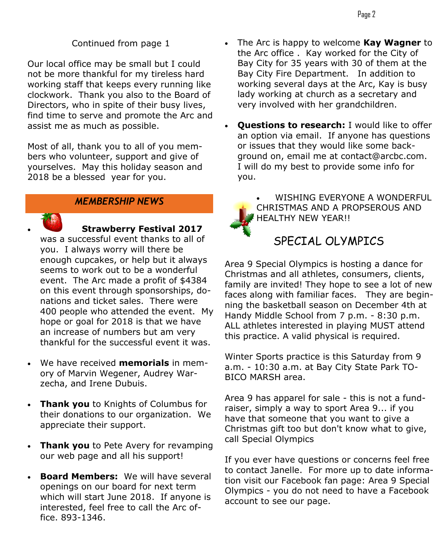Continued from page 1

Our local office may be small but I could not be more thankful for my tireless hard working staff that keeps every running like clockwork. Thank you also to the Board of Directors, who in spite of their busy lives, find time to serve and promote the Arc and assist me as much as possible.

Most of all, thank you to all of you members who volunteer, support and give of yourselves. May this holiday season and 2018 be a blessed year for you.

### *MEMBERSHIP NEWS*



**Strawberry Festival 2017** 

was a successful event thanks to all of you. I always worry will there be enough cupcakes, or help but it always seems to work out to be a wonderful event. The Arc made a profit of \$4384 on this event through sponsorships, donations and ticket sales. There were 400 people who attended the event. My hope or goal for 2018 is that we have an increase of numbers but am very thankful for the successful event it was.

- We have received **memorials** in memory of Marvin Wegener, Audrey Warzecha, and Irene Dubuis.
- **Thank you** to Knights of Columbus for their donations to our organization. We appreciate their support.
- **Thank you** to Pete Avery for revamping our web page and all his support!
- **Board Members:** We will have several openings on our board for next term which will start June 2018. If anyone is interested, feel free to call the Arc office. 893-1346.
- The Arc is happy to welcome **Kay Wagner** to the Arc office . Kay worked for the City of Bay City for 35 years with 30 of them at the Bay City Fire Department. In addition to working several days at the Arc, Kay is busy lady working at church as a secretary and very involved with her grandchildren.
- **Questions to research:** I would like to offer an option via email. If anyone has questions or issues that they would like some background on, email me at contact@arcbc.com. I will do my best to provide some info for you.
	- WISHING EVERYONE A WONDERFUL CHRISTMAS AND A PROPSEROUS AND HEALTHY NEW YEAR!!

# SPECIAL OLYMPICS

Area 9 Special Olympics is hosting a dance for Christmas and all athletes, consumers, clients, family are invited! They hope to see a lot of new faces along with familiar faces. They are beginning the basketball season on December 4th at Handy Middle School from 7 p.m. - 8:30 p.m. ALL athletes interested in playing MUST attend this practice. A valid physical is required.

Winter Sports practice is this Saturday from 9 a.m. - 10:30 a.m. at Bay City State Park TO-BICO MARSH area.

Area 9 has apparel for sale - this is not a fundraiser, simply a way to sport Area 9... if you have that someone that you want to give a Christmas gift too but don't know what to give, call Special Olympics

If you ever have questions or concerns feel free to contact Janelle. For more up to date information visit our Facebook fan page: Area 9 Special Olympics - you do not need to have a Facebook account to see our page.